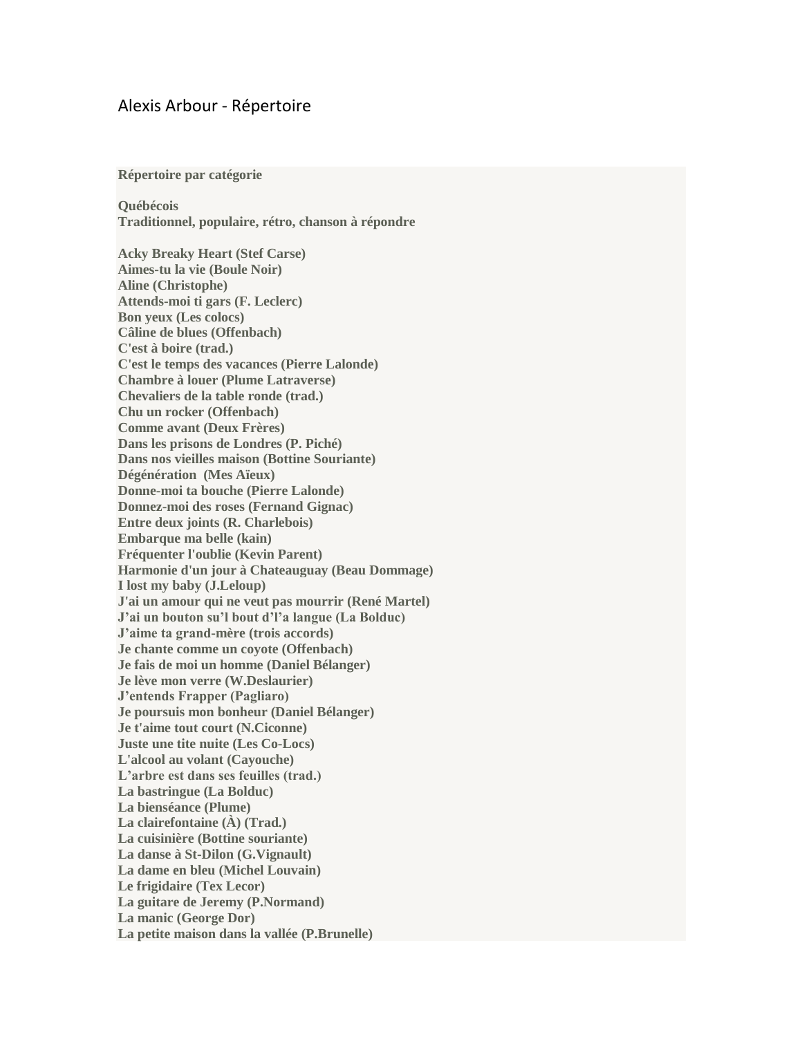## Alexis Arbour - Répertoire

**Répertoire par catégorie**

**Québécois Traditionnel, populaire, rétro, chanson à répondre**

**Acky Breaky Heart (Stef Carse) Aimes-tu la vie (Boule Noir) Aline (Christophe) Attends-moi ti gars (F. Leclerc) Bon yeux (Les colocs) Câline de blues (Offenbach) C'est à boire (trad.) C'est le temps des vacances (Pierre Lalonde) Chambre à louer (Plume Latraverse) Chevaliers de la table ronde (trad.) Chu un rocker (Offenbach) Comme avant (Deux Frères) Dans les prisons de Londres (P. Piché) Dans nos vieilles maison (Bottine Souriante) Dégénération (Mes Aïeux) Donne-moi ta bouche (Pierre Lalonde) Donnez-moi des roses (Fernand Gignac) Entre deux joints (R. Charlebois) Embarque ma belle (kain) Fréquenter l'oublie (Kevin Parent) Harmonie d'un jour à Chateauguay (Beau Dommage) I lost my baby (J.Leloup) J'ai un amour qui ne veut pas mourrir (René Martel) J'ai un bouton su'l bout d'l'a langue (La Bolduc) J'aime ta grand-mère (trois accords) Je chante comme un coyote (Offenbach) Je fais de moi un homme (Daniel Bélanger) Je lève mon verre (W.Deslaurier) J'entends Frapper (Pagliaro) Je poursuis mon bonheur (Daniel Bélanger) Je t'aime tout court (N.Ciconne) Juste une tite nuite (Les Co-Locs) L'alcool au volant (Cayouche) L'arbre est dans ses feuilles (trad.) La bastringue (La Bolduc) La bienséance (Plume) La clairefontaine (À) (Trad.) La cuisinière (Bottine souriante) La danse à St-Dilon (G.Vignault) La dame en bleu (Michel Louvain) Le frigidaire (Tex Lecor) La guitare de Jeremy (P.Normand) La manic (George Dor) La petite maison dans la vallée (P.Brunelle)**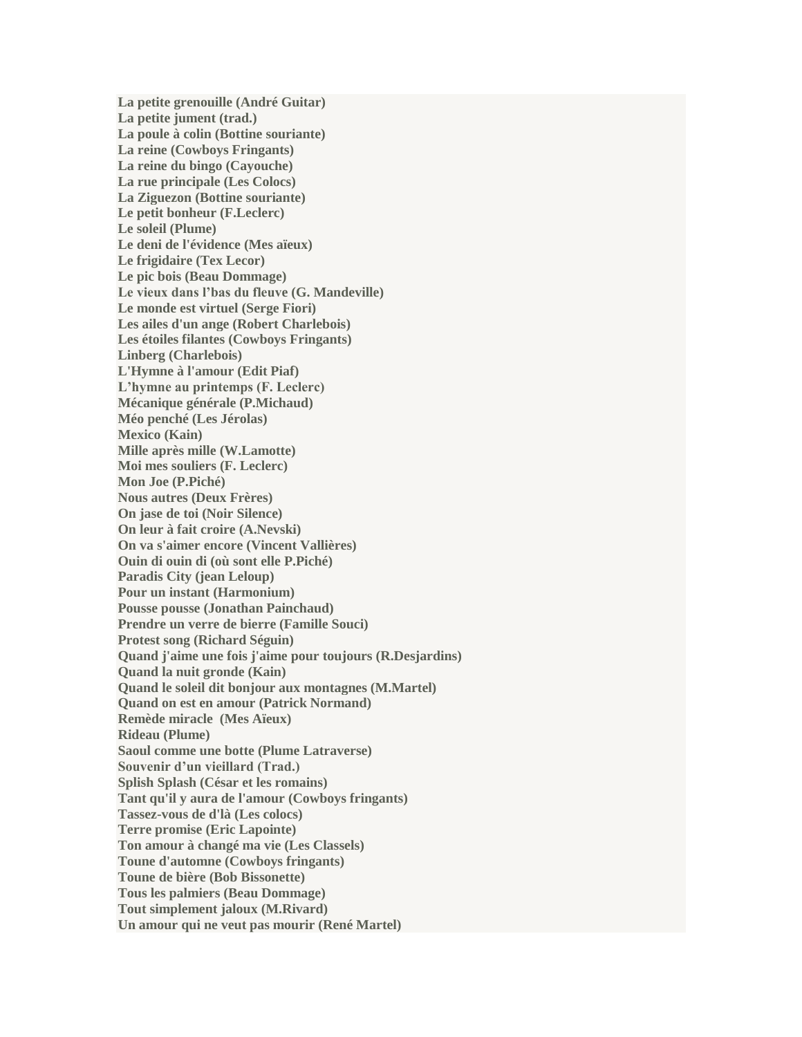**La petite grenouille (André Guitar) La petite jument (trad.) La poule à colin (Bottine souriante) La reine (Cowboys Fringants) La reine du bingo (Cayouche) La rue principale (Les Colocs) La Ziguezon (Bottine souriante) Le petit bonheur (F.Leclerc) Le soleil (Plume) Le deni de l'évidence (Mes aïeux) Le frigidaire (Tex Lecor) Le pic bois (Beau Dommage) Le vieux dans l'bas du fleuve (G. Mandeville) Le monde est virtuel (Serge Fiori) Les ailes d'un ange (Robert Charlebois) Les étoiles filantes (Cowboys Fringants) Linberg (Charlebois) L'Hymne à l'amour (Edit Piaf) L'hymne au printemps (F. Leclerc) Mécanique générale (P.Michaud) Méo penché (Les Jérolas) Mexico (Kain) Mille après mille (W.Lamotte) Moi mes souliers (F. Leclerc) Mon Joe (P.Piché) Nous autres (Deux Frères) On jase de toi (Noir Silence) On leur à fait croire (A.Nevski) On va s'aimer encore (Vincent Vallières) Ouin di ouin di (où sont elle P.Piché) Paradis City (jean Leloup) Pour un instant (Harmonium) Pousse pousse (Jonathan Painchaud) Prendre un verre de bierre (Famille Souci) Protest song (Richard Séguin) Quand j'aime une fois j'aime pour toujours (R.Desjardins) Quand la nuit gronde (Kain) Quand le soleil dit bonjour aux montagnes (M.Martel) Quand on est en amour (Patrick Normand) Remède miracle (Mes Aïeux) Rideau (Plume) Saoul comme une botte (Plume Latraverse) Souvenir d'un vieillard (Trad.) Splish Splash (César et les romains) Tant qu'il y aura de l'amour (Cowboys fringants) Tassez-vous de d'là (Les colocs) Terre promise (Eric Lapointe) Ton amour à changé ma vie (Les Classels) Toune d'automne (Cowboys fringants) Toune de bière (Bob Bissonette) Tous les palmiers (Beau Dommage) Tout simplement jaloux (M.Rivard) Un amour qui ne veut pas mourir (René Martel)**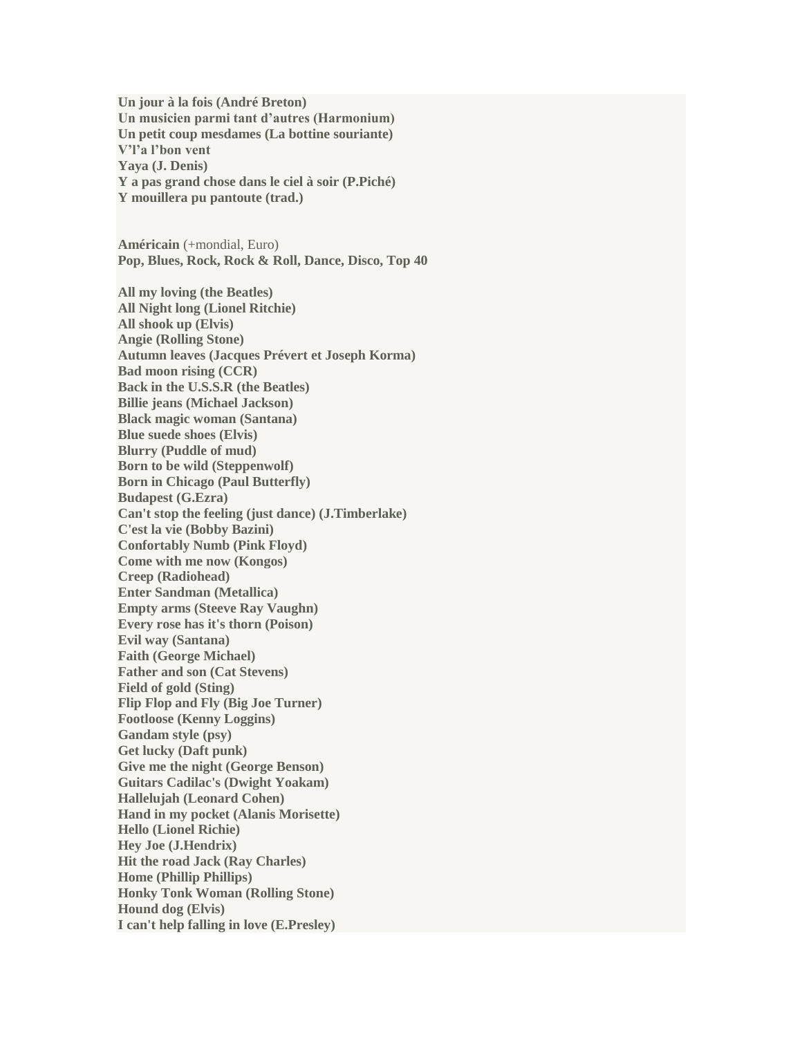**Un jour à la fois (André Breton) Un musicien parmi tant d'autres (Harmonium) Un petit coup mesdames (La bottine souriante) V'l'a l'bon vent Yaya (J. Denis) Y a pas grand chose dans le ciel à soir (P.Piché) Y mouillera pu pantoute (trad.)**

**Américain** (+mondial, Euro) **Pop, Blues, Rock, Rock & Roll, Dance, Disco, Top 40**

**All my loving (the Beatles) All Night long (Lionel Ritchie) All shook up (Elvis) Angie (Rolling Stone) Autumn leaves (Jacques Prévert et Joseph Korma) Bad moon rising (CCR) Back in the U.S.S.R (the Beatles) Billie jeans (Michael Jackson) Black magic woman (Santana) Blue suede shoes (Elvis) Blurry (Puddle of mud) Born to be wild (Steppenwolf) Born in Chicago (Paul Butterfly) Budapest (G.Ezra) Can't stop the feeling (just dance) (J.Timberlake) C'est la vie (Bobby Bazini) Confortably Numb (Pink Floyd) Come with me now (Kongos) Creep (Radiohead) Enter Sandman (Metallica) Empty arms (Steeve Ray Vaughn) Every rose has it's thorn (Poison) Evil way (Santana) Faith (George Michael) Father and son (Cat Stevens) Field of gold (Sting) Flip Flop and Fly (Big Joe Turner) Footloose (Kenny Loggins) Gandam style (psy) Get lucky (Daft punk) Give me the night (George Benson) Guitars Cadilac's (Dwight Yoakam) Hallelujah (Leonard Cohen) Hand in my pocket (Alanis Morisette) Hello (Lionel Richie) Hey Joe (J.Hendrix) Hit the road Jack (Ray Charles) Home (Phillip Phillips) Honky Tonk Woman (Rolling Stone) Hound dog (Elvis) I can't help falling in love (E.Presley)**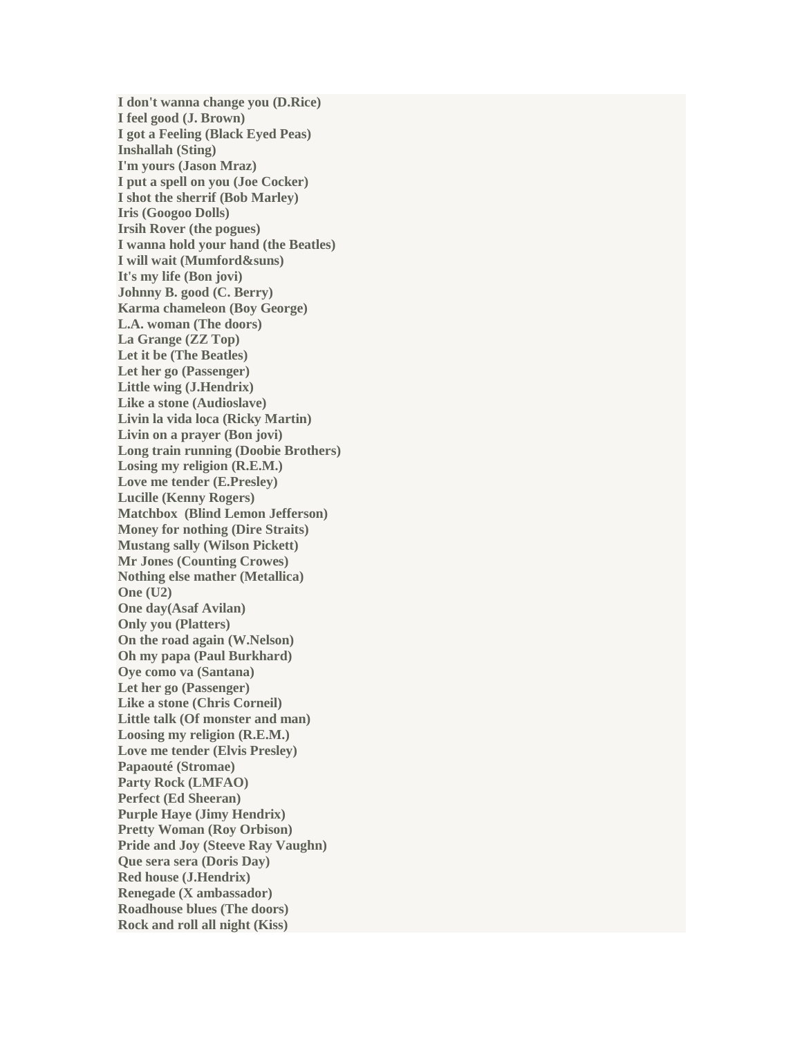**I don't wanna change you (D.Rice) I feel good (J. Brown) I got a Feeling (Black Eyed Peas) Inshallah (Sting) I'm yours (Jason Mraz) I put a spell on you (Joe Cocker) I shot the sherrif (Bob Marley) Iris (Googoo Dolls) Irsih Rover (the pogues) I wanna hold your hand (the Beatles) I will wait (Mumford&suns) It's my life (Bon jovi) Johnny B. good (C. Berry) Karma chameleon (Boy George) L.A. woman (The doors) La Grange (ZZ Top) Let it be (The Beatles) Let her go (Passenger) Little wing (J.Hendrix) Like a stone (Audioslave) Livin la vida loca (Ricky Martin) Livin on a prayer (Bon jovi) Long train running (Doobie Brothers) Losing my religion (R.E.M.) Love me tender (E.Presley) Lucille (Kenny Rogers) Matchbox (Blind Lemon Jefferson) Money for nothing (Dire Straits) Mustang sally (Wilson Pickett) Mr Jones (Counting Crowes) Nothing else mather (Metallica) One (U2) One day(Asaf Avilan) Only you (Platters) On the road again (W.Nelson) Oh my papa (Paul Burkhard) Oye como va (Santana) Let her go (Passenger) Like a stone (Chris Corneil) Little talk (Of monster and man) Loosing my religion (R.E.M.) Love me tender (Elvis Presley) Papaouté (Stromae) Party Rock (LMFAO) Perfect (Ed Sheeran) Purple Haye (Jimy Hendrix) Pretty Woman (Roy Orbison) Pride and Joy (Steeve Ray Vaughn) Que sera sera (Doris Day) Red house (J.Hendrix) Renegade (X ambassador) Roadhouse blues (The doors) Rock and roll all night (Kiss)**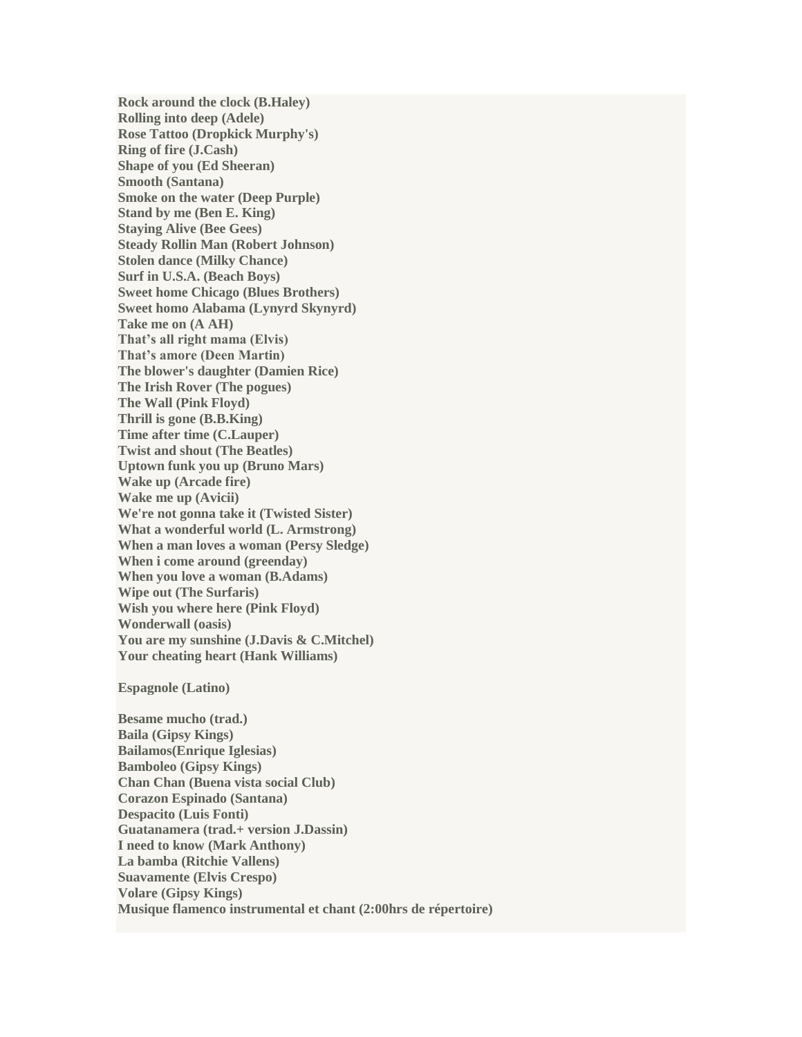**Rock around the clock (B.Haley) Rolling into deep (Adele) Rose Tattoo (Dropkick Murphy's) Ring of fire (J.Cash) Shape of you (Ed Sheeran) Smooth (Santana) Smoke on the water (Deep Purple) Stand by me (Ben E. King) Staying Alive (Bee Gees) Steady Rollin Man (Robert Johnson) Stolen dance (Milky Chance) Surf in U.S.A. (Beach Boys) Sweet home Chicago (Blues Brothers) Sweet homo Alabama (Lynyrd Skynyrd) Take me on (A AH) That's all right mama (Elvis) That's amore (Deen Martin) The blower's daughter (Damien Rice) The Irish Rover (The pogues) The Wall (Pink Floyd) Thrill is gone (B.B.King) Time after time (C.Lauper) Twist and shout (The Beatles) Uptown funk you up (Bruno Mars) Wake up (Arcade fire) Wake me up (Avicii) We're not gonna take it (Twisted Sister) What a wonderful world (L. Armstrong) When a man loves a woman (Persy Sledge) When i come around (greenday) When you love a woman (B.Adams) Wipe out (The Surfaris) Wish you where here (Pink Floyd) Wonderwall (oasis) You are my sunshine (J.Davis & C.Mitchel) Your cheating heart (Hank Williams)**

## **Espagnole (Latino)**

**Besame mucho (trad.) Baila (Gipsy Kings) Bailamos(Enrique Iglesias) Bamboleo (Gipsy Kings) Chan Chan (Buena vista social Club) Corazon Espinado (Santana) Despacito (Luis Fonti) Guatanamera (trad.+ version J.Dassin) I need to know (Mark Anthony) La bamba (Ritchie Vallens) Suavamente (Elvis Crespo) Volare (Gipsy Kings) Musique flamenco instrumental et chant (2:00hrs de répertoire)**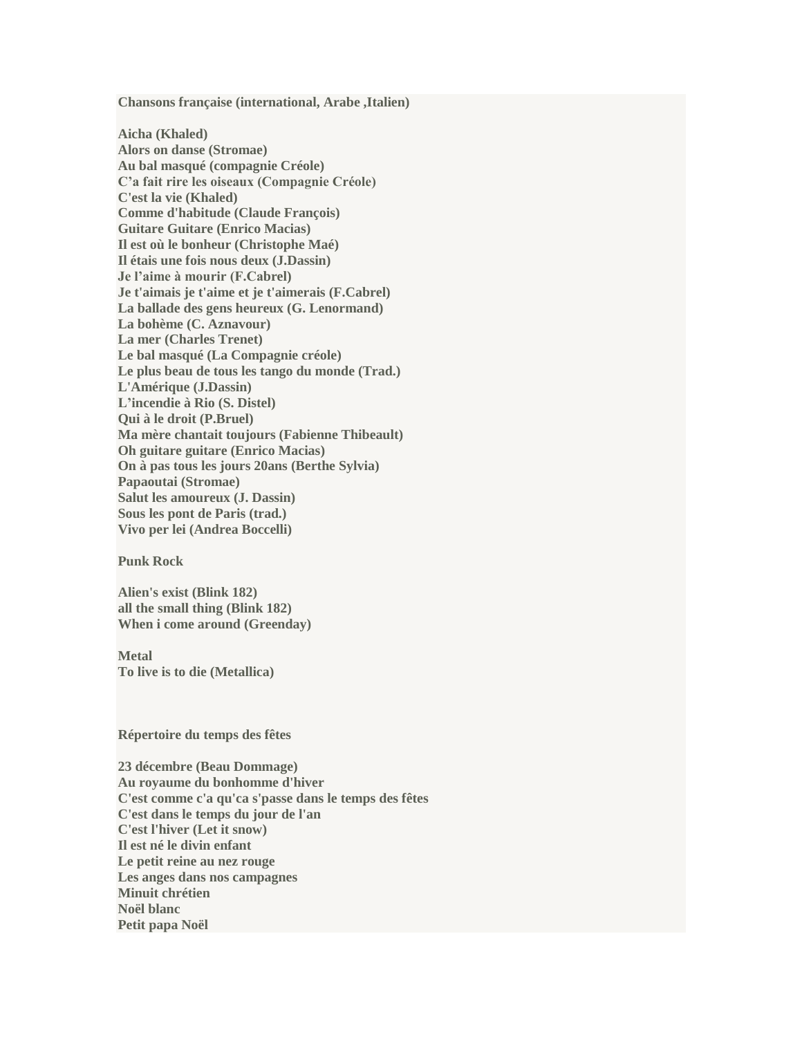**Chansons française (international, Arabe ,Italien)**

**Aicha (Khaled) Alors on danse (Stromae) Au bal masqué (compagnie Créole) C'a fait rire les oiseaux (Compagnie Créole) C'est la vie (Khaled) Comme d'habitude (Claude François) Guitare Guitare (Enrico Macias) Il est où le bonheur (Christophe Maé) Il étais une fois nous deux (J.Dassin) Je l'aime à mourir (F.Cabrel) Je t'aimais je t'aime et je t'aimerais (F.Cabrel) La ballade des gens heureux (G. Lenormand) La bohème (C. Aznavour) La mer (Charles Trenet) Le bal masqué (La Compagnie créole) Le plus beau de tous les tango du monde (Trad.) L'Amérique (J.Dassin) L'incendie à Rio (S. Distel) Qui à le droit (P.Bruel) Ma mère chantait toujours (Fabienne Thibeault) Oh guitare guitare (Enrico Macias) On à pas tous les jours 20ans (Berthe Sylvia) Papaoutai (Stromae) Salut les amoureux (J. Dassin) Sous les pont de Paris (trad.) Vivo per lei (Andrea Boccelli)**

## **Punk Rock**

**Alien's exist (Blink 182) all the small thing (Blink 182) When i come around (Greenday)**

**Metal To live is to die (Metallica)**

**Répertoire du temps des fêtes**

**23 décembre (Beau Dommage) Au royaume du bonhomme d'hiver C'est comme c'a qu'ca s'passe dans le temps des fêtes C'est dans le temps du jour de l'an C'est l'hiver (Let it snow) Il est né le divin enfant Le petit reine au nez rouge Les anges dans nos campagnes Minuit chrétien Noël blanc Petit papa Noël**